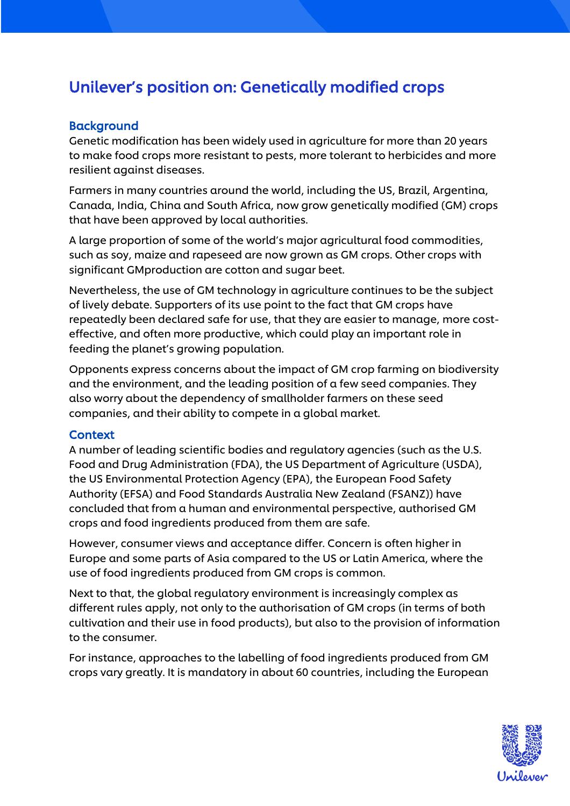# Unilever's position on: Genetically modified crops

#### **Background**

Genetic modification has been widely used in agriculture for more than 20 years to make food crops more resistant to pests, more tolerant to herbicides and more resilient against diseases.

Farmers in many countries around the world, including the US, Brazil, Argentina, Canada, India, China and South Africa, now grow genetically modified (GM) crops that have been approved by local authorities.

A large proportion of some of the world's major agricultural food commodities, such as soy, maize and rapeseed are now grown as GM crops. Other crops with significant GMproduction are cotton and sugar beet.

Nevertheless, the use of GM technology in agriculture continues to be the subject of lively debate. Supporters of its use point to the fact that GM crops have repeatedly been declared safe for use, that they are easier to manage, more costeffective, and often more productive, which could play an important role in feeding the planet's growing population.

Opponents express concerns about the impact of GM crop farming on biodiversity and the environment, and the leading position of a few seed companies. They also worry about the dependency of smallholder farmers on these seed companies, and their ability to compete in a global market.

#### **Context**

A number of leading scientific bodies and regulatory agencies (such as the U.S. Food and Drug Administration (FDA), the US Department of Agriculture (USDA), the US Environmental Protection Agency (EPA), the European Food Safety Authority (EFSA) and Food Standards Australia New Zealand (FSANZ)) have concluded that from a human and environmental perspective, authorised GM crops and food ingredients produced from them are safe.

However, consumer views and acceptance differ. Concern is often higher in Europe and some parts of Asia compared to the US or Latin America, where the use of food ingredients produced from GM crops is common.

Next to that, the global regulatory environment is increasingly complex as different rules apply, not only to the authorisation of GM crops (in terms of both cultivation and their use in food products), but also to the provision of information to the consumer.

For instance, approaches to the labelling of food ingredients produced from GM crops vary greatly. It is mandatory in about 60 countries, including the European

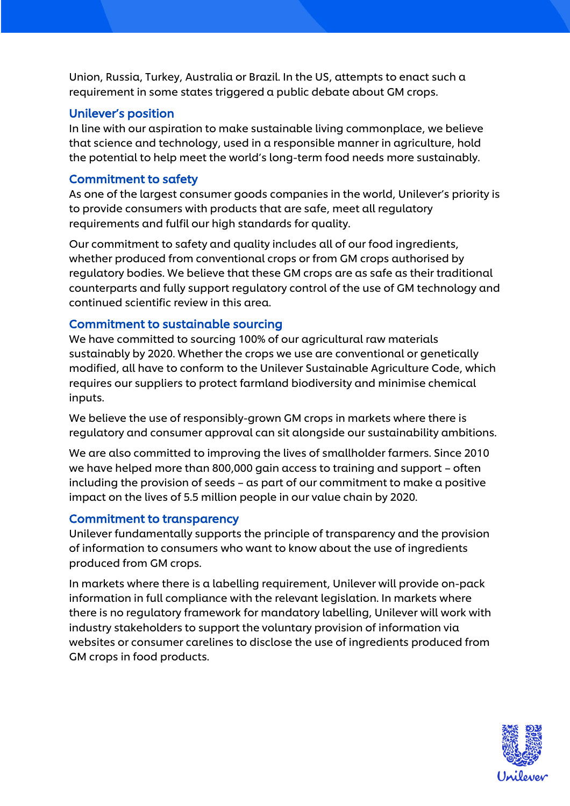Union, Russia, Turkey, Australia or Brazil. In the US, attempts to enact such a requirement in some states triggered a public debate about GM crops.

## Unilever's position

In line with our aspiration to make sustainable living commonplace, we believe that science and technology, used in a responsible manner in agriculture, hold the potential to help meet the world's long-term food needs more sustainably.

# Commitment to safety

As one of the largest consumer goods companies in the world, Unilever's priority is to provide consumers with products that are safe, meet all regulatory requirements and fulfil our high standards for quality.

Our commitment to safety and quality includes all of our food ingredients, whether produced from conventional crops or from GM crops authorised by regulatory bodies. We believe that these GM crops are as safe as their traditional counterparts and fully support regulatory control of the use of GM technology and continued scientific review in this area.

# Commitment to sustainable sourcing

We have committed to sourcing 100% of our agricultural raw materials sustainably by 2020. Whether the crops we use are conventional or genetically modified, all have to conform to the Unilever Sustainable Agriculture Code, which requires our suppliers to protect farmland biodiversity and minimise chemical inputs.

We believe the use of responsibly-grown GM crops in markets where there is regulatory and consumer approval can sit alongside our sustainability ambitions.

We are also committed to improving the lives of smallholder farmers. Since 2010 we have helped more than 800,000 gain access to training and support – often including the provision of seeds – as part of our commitment to make a positive impact on the lives of 5.5 million people in our value chain by 2020.

## Commitment to transparency

Unilever fundamentally supports the principle of transparency and the provision of information to consumers who want to know about the use of ingredients produced from GM crops.

In markets where there is a labelling requirement, Unilever will provide on-pack information in full compliance with the relevant legislation. In markets where there is no regulatory framework for mandatory labelling, Unilever will work with industry stakeholders to support the voluntary provision of information via websites or consumer carelines to disclose the use of ingredients produced from GM crops in food products.